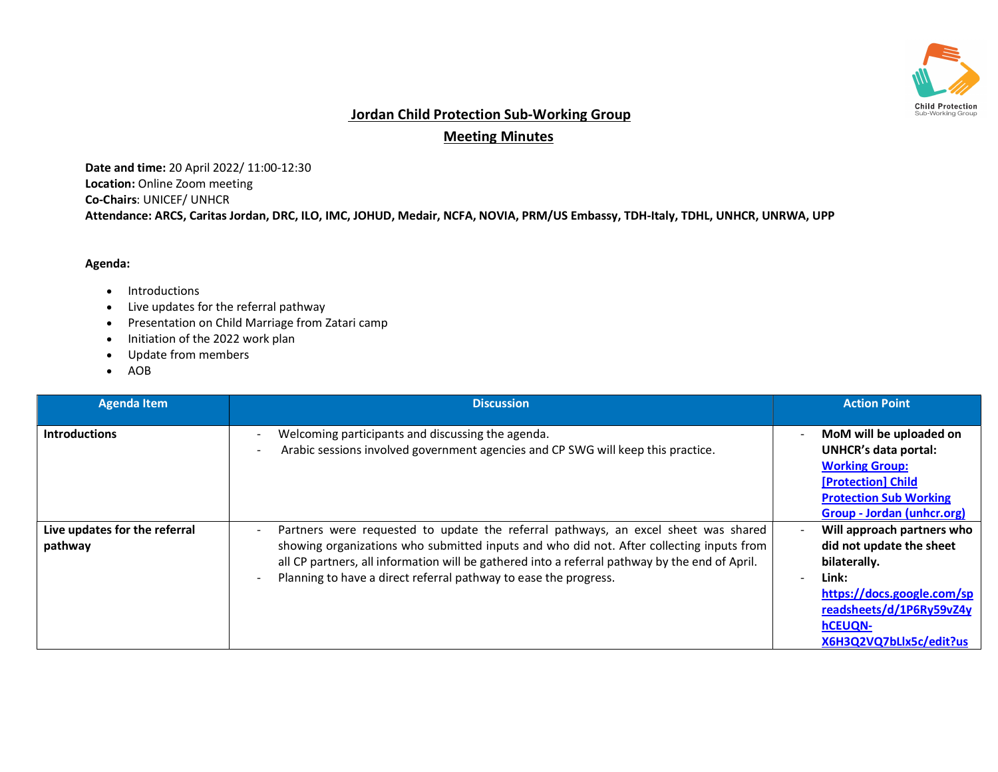

## Jordan Child Protection Sub-Working Group

Meeting Minutes

Date and time: 20 April 2022/ 11:00-12:30 Location: Online Zoom meeting Co-Chairs: UNICEF/ UNHCR Attendance: ARCS, Caritas Jordan, DRC, ILO, IMC, JOHUD, Medair, NCFA, NOVIA, PRM/US Embassy, TDH-Italy, TDHL, UNHCR, UNRWA, UPP

## Agenda:

- Introductions
- Live updates for the referral pathway
- Presentation on Child Marriage from Zatari camp
- Initiation of the 2022 work plan
- Update from members
- AOB

| <b>Agenda Item</b>                       | <b>Discussion</b>                                                                                                                                                                                                                                                                                                                                    | <b>Action Point</b>                                                                                                                                                                    |
|------------------------------------------|------------------------------------------------------------------------------------------------------------------------------------------------------------------------------------------------------------------------------------------------------------------------------------------------------------------------------------------------------|----------------------------------------------------------------------------------------------------------------------------------------------------------------------------------------|
| <b>Introductions</b>                     | Welcoming participants and discussing the agenda.<br>$\overline{\phantom{a}}$<br>Arabic sessions involved government agencies and CP SWG will keep this practice.                                                                                                                                                                                    | MoM will be uploaded on<br><b>UNHCR's data portal:</b><br><b>Working Group:</b><br>[Protection] Child<br><b>Protection Sub Working</b><br>Group - Jordan (unhcr.org)                   |
| Live updates for the referral<br>pathway | Partners were requested to update the referral pathways, an excel sheet was shared<br>showing organizations who submitted inputs and who did not. After collecting inputs from<br>all CP partners, all information will be gathered into a referral pathway by the end of April.<br>Planning to have a direct referral pathway to ease the progress. | Will approach partners who<br>did not update the sheet<br>bilaterally.<br>Link:<br>https://docs.google.com/sp<br>readsheets/d/1P6Ry59vZ4y<br><b>hCEUQN-</b><br>X6H3Q2VQ7bLlx5c/edit?us |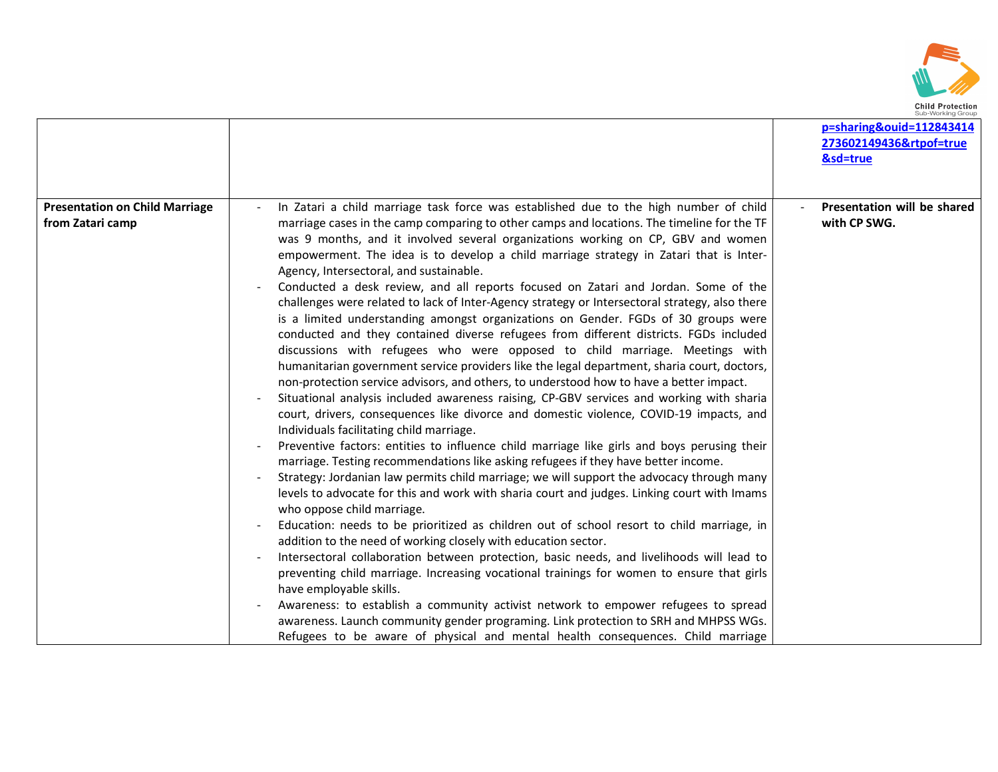

|                                                           |                                                                                                                                                                                                                                                                                                                                                                                                                                                                                                                                                                                                                                                                                                                                                                                                                                                                                                                                                                                                                                                                                                                                                                                                                                                                                                                                                                                                                                                                                                                                                                                                                                                                                                                                                                                                                                                                                                                                                                                                                                                                                                                                                                                                                                                                                                                                                                    | p=sharing&ouid=112843414<br>273602149436&rtpof=true<br>&sd=true |
|-----------------------------------------------------------|--------------------------------------------------------------------------------------------------------------------------------------------------------------------------------------------------------------------------------------------------------------------------------------------------------------------------------------------------------------------------------------------------------------------------------------------------------------------------------------------------------------------------------------------------------------------------------------------------------------------------------------------------------------------------------------------------------------------------------------------------------------------------------------------------------------------------------------------------------------------------------------------------------------------------------------------------------------------------------------------------------------------------------------------------------------------------------------------------------------------------------------------------------------------------------------------------------------------------------------------------------------------------------------------------------------------------------------------------------------------------------------------------------------------------------------------------------------------------------------------------------------------------------------------------------------------------------------------------------------------------------------------------------------------------------------------------------------------------------------------------------------------------------------------------------------------------------------------------------------------------------------------------------------------------------------------------------------------------------------------------------------------------------------------------------------------------------------------------------------------------------------------------------------------------------------------------------------------------------------------------------------------------------------------------------------------------------------------------------------------|-----------------------------------------------------------------|
| <b>Presentation on Child Marriage</b><br>from Zatari camp | In Zatari a child marriage task force was established due to the high number of child<br>marriage cases in the camp comparing to other camps and locations. The timeline for the TF<br>was 9 months, and it involved several organizations working on CP, GBV and women<br>empowerment. The idea is to develop a child marriage strategy in Zatari that is Inter-<br>Agency, Intersectoral, and sustainable.<br>Conducted a desk review, and all reports focused on Zatari and Jordan. Some of the<br>challenges were related to lack of Inter-Agency strategy or Intersectoral strategy, also there<br>is a limited understanding amongst organizations on Gender. FGDs of 30 groups were<br>conducted and they contained diverse refugees from different districts. FGDs included<br>discussions with refugees who were opposed to child marriage. Meetings with<br>humanitarian government service providers like the legal department, sharia court, doctors,<br>non-protection service advisors, and others, to understood how to have a better impact.<br>Situational analysis included awareness raising, CP-GBV services and working with sharia<br>court, drivers, consequences like divorce and domestic violence, COVID-19 impacts, and<br>Individuals facilitating child marriage.<br>Preventive factors: entities to influence child marriage like girls and boys perusing their<br>marriage. Testing recommendations like asking refugees if they have better income.<br>Strategy: Jordanian law permits child marriage; we will support the advocacy through many<br>levels to advocate for this and work with sharia court and judges. Linking court with Imams<br>who oppose child marriage.<br>Education: needs to be prioritized as children out of school resort to child marriage, in<br>addition to the need of working closely with education sector.<br>Intersectoral collaboration between protection, basic needs, and livelihoods will lead to<br>preventing child marriage. Increasing vocational trainings for women to ensure that girls<br>have employable skills.<br>Awareness: to establish a community activist network to empower refugees to spread<br>awareness. Launch community gender programing. Link protection to SRH and MHPSS WGs.<br>Refugees to be aware of physical and mental health consequences. Child marriage | Presentation will be shared<br>with CP SWG.                     |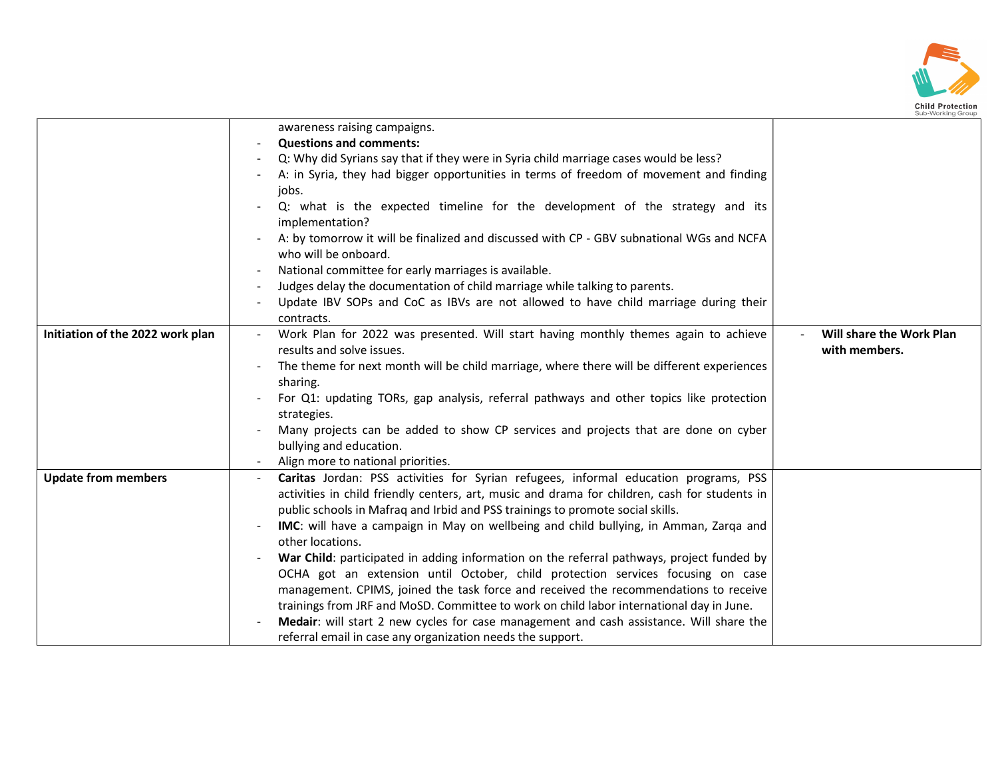

|                                  | awareness raising campaigns.                                                                    |                          |
|----------------------------------|-------------------------------------------------------------------------------------------------|--------------------------|
|                                  | <b>Questions and comments:</b>                                                                  |                          |
|                                  | Q: Why did Syrians say that if they were in Syria child marriage cases would be less?           |                          |
|                                  | A: in Syria, they had bigger opportunities in terms of freedom of movement and finding          |                          |
|                                  | jobs.                                                                                           |                          |
|                                  | Q: what is the expected timeline for the development of the strategy and its<br>implementation? |                          |
|                                  | A: by tomorrow it will be finalized and discussed with CP - GBV subnational WGs and NCFA        |                          |
|                                  | who will be onboard.                                                                            |                          |
|                                  | National committee for early marriages is available.                                            |                          |
|                                  | Judges delay the documentation of child marriage while talking to parents.                      |                          |
|                                  | Update IBV SOPs and CoC as IBVs are not allowed to have child marriage during their             |                          |
|                                  | contracts.                                                                                      |                          |
| Initiation of the 2022 work plan | Work Plan for 2022 was presented. Will start having monthly themes again to achieve             | Will share the Work Plan |
|                                  | results and solve issues.                                                                       | with members.            |
|                                  | The theme for next month will be child marriage, where there will be different experiences      |                          |
|                                  | sharing.                                                                                        |                          |
|                                  | For Q1: updating TORs, gap analysis, referral pathways and other topics like protection         |                          |
|                                  | strategies.                                                                                     |                          |
|                                  | Many projects can be added to show CP services and projects that are done on cyber              |                          |
|                                  | bullying and education.                                                                         |                          |
|                                  | Align more to national priorities.                                                              |                          |
| <b>Update from members</b>       | Caritas Jordan: PSS activities for Syrian refugees, informal education programs, PSS            |                          |
|                                  | activities in child friendly centers, art, music and drama for children, cash for students in   |                          |
|                                  | public schools in Mafraq and Irbid and PSS trainings to promote social skills.                  |                          |
|                                  | <b>IMC:</b> will have a campaign in May on wellbeing and child bullying, in Amman, Zarqa and    |                          |
|                                  | other locations.                                                                                |                          |
|                                  | War Child: participated in adding information on the referral pathways, project funded by       |                          |
|                                  | OCHA got an extension until October, child protection services focusing on case                 |                          |
|                                  | management. CPIMS, joined the task force and received the recommendations to receive            |                          |
|                                  | trainings from JRF and MoSD. Committee to work on child labor international day in June.        |                          |
|                                  | Medair: will start 2 new cycles for case management and cash assistance. Will share the         |                          |
|                                  | referral email in case any organization needs the support.                                      |                          |